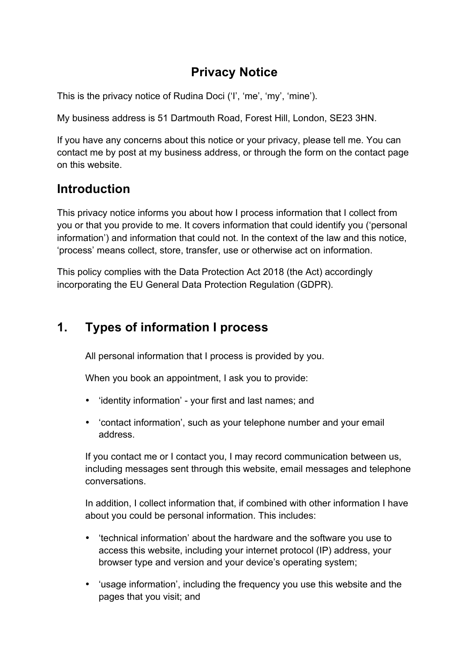## **Privacy Notice**

This is the privacy notice of Rudina Doci ('I', 'me', 'my', 'mine').

My business address is 51 Dartmouth Road, Forest Hill, London, SE23 3HN.

If you have any concerns about this notice or your privacy, please tell me. You can contact me by post at my business address, or through the form on the contact page on this website.

## **Introduction**

This privacy notice informs you about how I process information that I collect from you or that you provide to me. It covers information that could identify you ('personal information') and information that could not. In the context of the law and this notice, 'process' means collect, store, transfer, use or otherwise act on information.

This policy complies with the Data Protection Act 2018 (the Act) accordingly incorporating the EU General Data Protection Regulation (GDPR).

# **1. Types of information I process**

All personal information that I process is provided by you.

When you book an appointment, I ask you to provide:

- 'identity information' your first and last names; and
- 'contact information', such as your telephone number and your email address.

If you contact me or I contact you, I may record communication between us, including messages sent through this website, email messages and telephone conversations.

In addition, I collect information that, if combined with other information I have about you could be personal information. This includes:

- 'technical information' about the hardware and the software you use to access this website, including your internet protocol (IP) address, your browser type and version and your device's operating system;
- 'usage information', including the frequency you use this website and the pages that you visit; and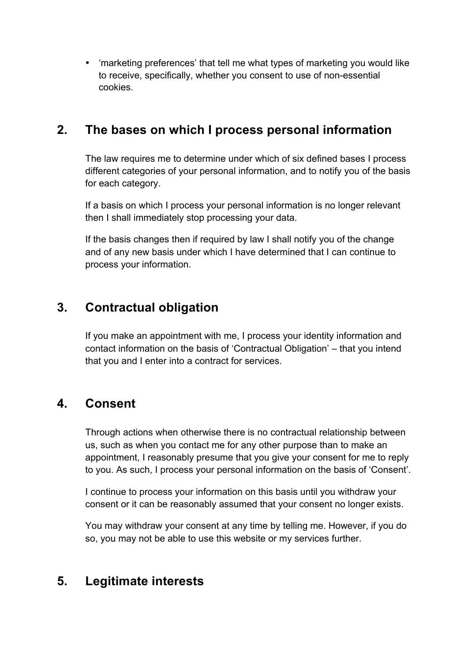• 'marketing preferences' that tell me what types of marketing you would like to receive, specifically, whether you consent to use of non-essential cookies.

#### **2. The bases on which I process personal information**

The law requires me to determine under which of six defined bases I process different categories of your personal information, and to notify you of the basis for each category.

If a basis on which I process your personal information is no longer relevant then I shall immediately stop processing your data.

If the basis changes then if required by law I shall notify you of the change and of any new basis under which I have determined that I can continue to process your information.

## **3. Contractual obligation**

If you make an appointment with me, I process your identity information and contact information on the basis of 'Contractual Obligation' – that you intend that you and I enter into a contract for services.

# **4. Consent**

Through actions when otherwise there is no contractual relationship between us, such as when you contact me for any other purpose than to make an appointment, I reasonably presume that you give your consent for me to reply to you. As such, I process your personal information on the basis of 'Consent'.

I continue to process your information on this basis until you withdraw your consent or it can be reasonably assumed that your consent no longer exists.

You may withdraw your consent at any time by telling me. However, if you do so, you may not be able to use this website or my services further.

# **5. Legitimate interests**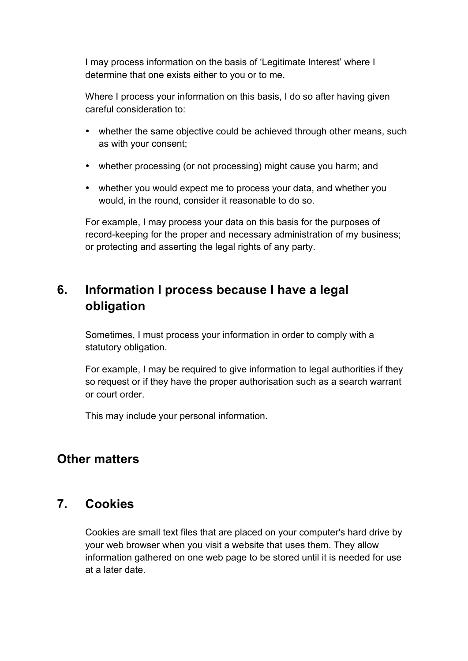I may process information on the basis of 'Legitimate Interest' where I determine that one exists either to you or to me.

Where I process your information on this basis, I do so after having given careful consideration to:

- whether the same objective could be achieved through other means, such as with your consent;
- whether processing (or not processing) might cause you harm; and
- whether you would expect me to process your data, and whether you would, in the round, consider it reasonable to do so.

For example, I may process your data on this basis for the purposes of record-keeping for the proper and necessary administration of my business; or protecting and asserting the legal rights of any party.

## **6. Information I process because I have a legal obligation**

Sometimes, I must process your information in order to comply with a statutory obligation.

For example, I may be required to give information to legal authorities if they so request or if they have the proper authorisation such as a search warrant or court order.

This may include your personal information.

## **Other matters**

#### **7. Cookies**

Cookies are small text files that are placed on your computer's hard drive by your web browser when you visit a website that uses them. They allow information gathered on one web page to be stored until it is needed for use at a later date.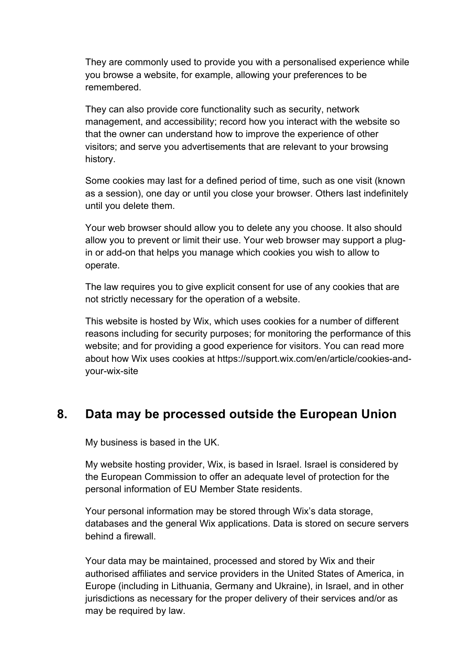They are commonly used to provide you with a personalised experience while you browse a website, for example, allowing your preferences to be remembered.

They can also provide core functionality such as security, network management, and accessibility; record how you interact with the website so that the owner can understand how to improve the experience of other visitors; and serve you advertisements that are relevant to your browsing history.

Some cookies may last for a defined period of time, such as one visit (known as a session), one day or until you close your browser. Others last indefinitely until you delete them.

Your web browser should allow you to delete any you choose. It also should allow you to prevent or limit their use. Your web browser may support a plugin or add-on that helps you manage which cookies you wish to allow to operate.

The law requires you to give explicit consent for use of any cookies that are not strictly necessary for the operation of a website.

This website is hosted by Wix, which uses cookies for a number of different reasons including for security purposes; for monitoring the performance of this website; and for providing a good experience for visitors. You can read more about how Wix uses cookies at https://support.wix.com/en/article/cookies-andyour-wix-site

#### **8. Data may be processed outside the European Union**

My business is based in the UK.

My website hosting provider, Wix, is based in Israel. Israel is considered by the European Commission to offer an adequate level of protection for the personal information of EU Member State residents.

Your personal information may be stored through Wix's data storage, databases and the general Wix applications. Data is stored on secure servers behind a firewall.

Your data may be maintained, processed and stored by Wix and their authorised affiliates and service providers in the United States of America, in Europe (including in Lithuania, Germany and Ukraine), in Israel, and in other jurisdictions as necessary for the proper delivery of their services and/or as may be required by law.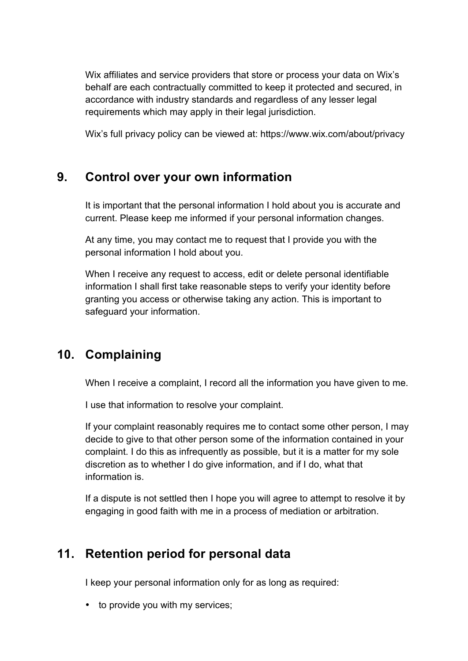Wix affiliates and service providers that store or process your data on Wix's behalf are each contractually committed to keep it protected and secured, in accordance with industry standards and regardless of any lesser legal requirements which may apply in their legal jurisdiction.

Wix's full privacy policy can be viewed at: https://www.wix.com/about/privacy

## **9. Control over your own information**

It is important that the personal information I hold about you is accurate and current. Please keep me informed if your personal information changes.

At any time, you may contact me to request that I provide you with the personal information I hold about you.

When I receive any request to access, edit or delete personal identifiable information I shall first take reasonable steps to verify your identity before granting you access or otherwise taking any action. This is important to safeguard your information.

# **10. Complaining**

When I receive a complaint, I record all the information you have given to me.

I use that information to resolve your complaint.

If your complaint reasonably requires me to contact some other person, I may decide to give to that other person some of the information contained in your complaint. I do this as infrequently as possible, but it is a matter for my sole discretion as to whether I do give information, and if I do, what that information is.

If a dispute is not settled then I hope you will agree to attempt to resolve it by engaging in good faith with me in a process of mediation or arbitration.

## **11. Retention period for personal data**

I keep your personal information only for as long as required:

• to provide you with my services;